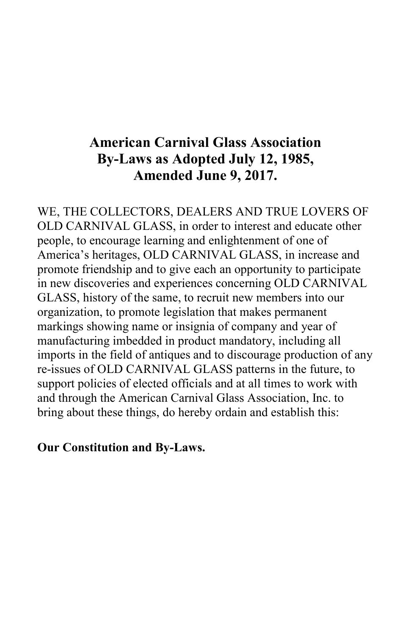# American Carnival Glass Association By-Laws as Adopted July 12, 1985, Amended June 9, 2017.

WE, THE COLLECTORS, DEALERS AND TRUE LOVERS OF OLD CARNIVAL GLASS, in order to interest and educate other people, to encourage learning and enlightenment of one of America's heritages, OLD CARNIVAL GLASS, in increase and promote friendship and to give each an opportunity to participate in new discoveries and experiences concerning OLD CARNIVAL GLASS, history of the same, to recruit new members into our organization, to promote legislation that makes permanent markings showing name or insignia of company and year of manufacturing imbedded in product mandatory, including all imports in the field of antiques and to discourage production of any re-issues of OLD CARNIVAL GLASS patterns in the future, to support policies of elected officials and at all times to work with and through the American Carnival Glass Association, Inc. to bring about these things, do hereby ordain and establish this:

#### Our Constitution and By-Laws.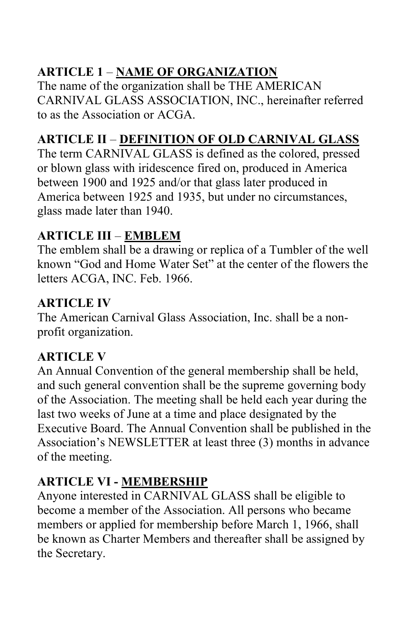# ARTICLE 1 – NAME OF ORGANIZATION

The name of the organization shall be THE AMERICAN CARNIVAL GLASS ASSOCIATION, INC., hereinafter referred to as the Association or ACGA.

# ARTICLE II – DEFINITION OF OLD CARNIVAL GLASS

The term CARNIVAL GLASS is defined as the colored, pressed or blown glass with iridescence fired on, produced in America between 1900 and 1925 and/or that glass later produced in America between 1925 and 1935, but under no circumstances, glass made later than 1940.

## ARTICLE III – EMBLEM

The emblem shall be a drawing or replica of a Tumbler of the well known "God and Home Water Set" at the center of the flowers the letters ACGA, INC. Feb. 1966.

## ARTICLE IV

The American Carnival Glass Association, Inc. shall be a nonprofit organization.

# ARTICLE V

An Annual Convention of the general membership shall be held, and such general convention shall be the supreme governing body of the Association. The meeting shall be held each year during the last two weeks of June at a time and place designated by the Executive Board. The Annual Convention shall be published in the Association's NEWSLETTER at least three (3) months in advance of the meeting.

## ARTICLE VI - MEMBERSHIP

Anyone interested in CARNIVAL GLASS shall be eligible to become a member of the Association. All persons who became members or applied for membership before March 1, 1966, shall be known as Charter Members and thereafter shall be assigned by the Secretary.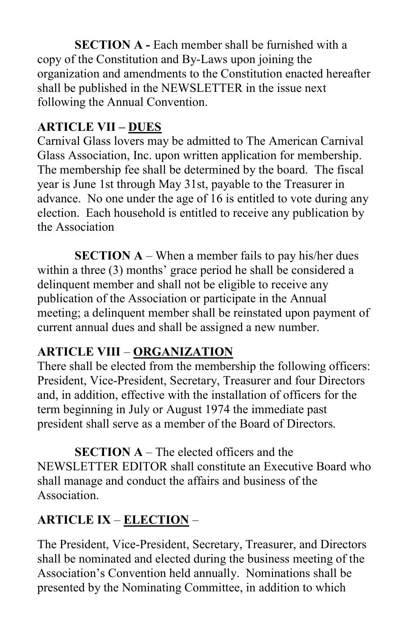SECTION A - Each member shall be furnished with a copy of the Constitution and By-Laws upon joining the organization and amendments to the Constitution enacted hereafter shall be published in the NEWSLETTER in the issue next following the Annual Convention.

## ARTICLE VII – DUES

Carnival Glass lovers may be admitted to The American Carnival Glass Association, Inc. upon written application for membership. The membership fee shall be determined by the board. The fiscal year is June 1st through May 31st, payable to the Treasurer in advance. No one under the age of 16 is entitled to vote during any election. Each household is entitled to receive any publication by the Association

**SECTION A** – When a member fails to pay his/her dues within a three (3) months' grace period he shall be considered a delinquent member and shall not be eligible to receive any publication of the Association or participate in the Annual meeting; a delinquent member shall be reinstated upon payment of current annual dues and shall be assigned a new number.

## ARTICLE VIII – ORGANIZATION

There shall be elected from the membership the following officers: President, Vice-President, Secretary, Treasurer and four Directors and, in addition, effective with the installation of officers for the term beginning in July or August 1974 the immediate past president shall serve as a member of the Board of Directors.

SECTION A – The elected officers and the NEWSLETTER EDITOR shall constitute an Executive Board who shall manage and conduct the affairs and business of the Association.

# ARTICLE IX – ELECTION –

The President, Vice-President, Secretary, Treasurer, and Directors shall be nominated and elected during the business meeting of the Association's Convention held annually. Nominations shall be presented by the Nominating Committee, in addition to which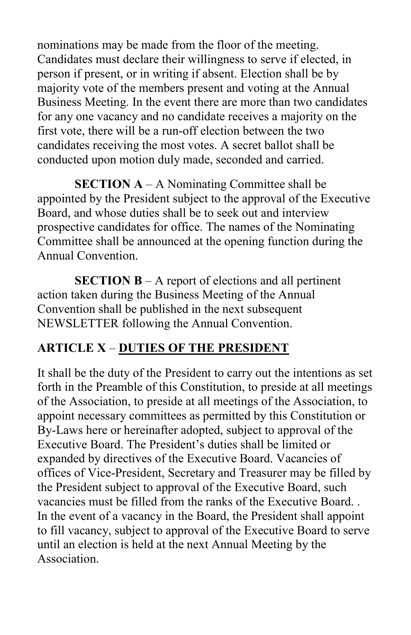nominations may be made from the floor of the meeting. Candidates must declare their willingness to serve if elected, in person if present, or in writing if absent. Election shall be by majority vote of the members present and voting at the Annual Business Meeting. In the event there are more than two candidates for any one vacancy and no candidate receives a majority on the first vote, there will be a run-off election between the two candidates receiving the most votes. A secret ballot shall be conducted upon motion duly made, seconded and carried.

**SECTION A** – A Nominating Committee shall be appointed by the President subject to the approval of the Executive Board, and whose duties shall be to seek out and interview prospective candidates for office. The names of the Nominating Committee shall be announced at the opening function during the Annual Convention.

SECTION B – A report of elections and all pertinent action taken during the Business Meeting of the Annual Convention shall be published in the next subsequent NEWSLETTER following the Annual Convention.

### ARTICLE X – DUTIES OF THE PRESIDENT

It shall be the duty of the President to carry out the intentions as set forth in the Preamble of this Constitution, to preside at all meetings of the Association, to preside at all meetings of the Association, to appoint necessary committees as permitted by this Constitution or By-Laws here or hereinafter adopted, subject to approval of the Executive Board. The President's duties shall be limited or expanded by directives of the Executive Board. Vacancies of offices of Vice-President, Secretary and Treasurer may be filled by the President subject to approval of the Executive Board, such vacancies must be filled from the ranks of the Executive Board. . In the event of a vacancy in the Board, the President shall appoint to fill vacancy, subject to approval of the Executive Board to serve until an election is held at the next Annual Meeting by the Association.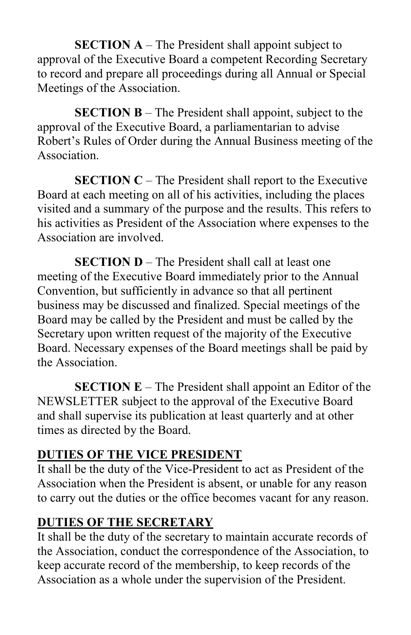SECTION A – The President shall appoint subject to approval of the Executive Board a competent Recording Secretary to record and prepare all proceedings during all Annual or Special Meetings of the Association.

SECTION B – The President shall appoint, subject to the approval of the Executive Board, a parliamentarian to advise Robert's Rules of Order during the Annual Business meeting of the Association.

SECTION C – The President shall report to the Executive Board at each meeting on all of his activities, including the places visited and a summary of the purpose and the results. This refers to his activities as President of the Association where expenses to the Association are involved.

SECTION D – The President shall call at least one meeting of the Executive Board immediately prior to the Annual Convention, but sufficiently in advance so that all pertinent business may be discussed and finalized. Special meetings of the Board may be called by the President and must be called by the Secretary upon written request of the majority of the Executive Board. Necessary expenses of the Board meetings shall be paid by the Association.

SECTION E – The President shall appoint an Editor of the NEWSLETTER subject to the approval of the Executive Board and shall supervise its publication at least quarterly and at other times as directed by the Board.

#### DUTIES OF THE VICE PRESIDENT

It shall be the duty of the Vice-President to act as President of the Association when the President is absent, or unable for any reason to carry out the duties or the office becomes vacant for any reason.

#### DUTIES OF THE SECRETARY

It shall be the duty of the secretary to maintain accurate records of the Association, conduct the correspondence of the Association, to keep accurate record of the membership, to keep records of the Association as a whole under the supervision of the President.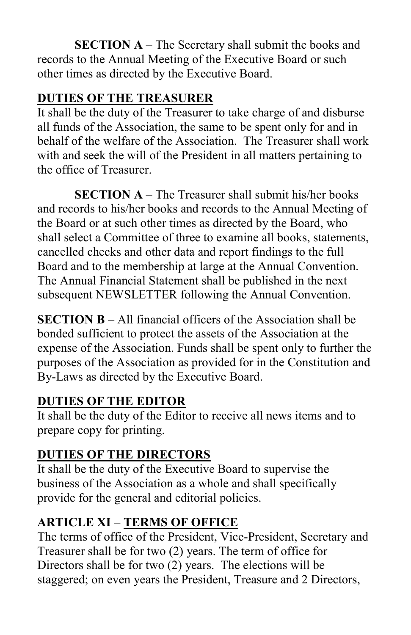SECTION A – The Secretary shall submit the books and records to the Annual Meeting of the Executive Board or such other times as directed by the Executive Board.

### DUTIES OF THE TREASURER

It shall be the duty of the Treasurer to take charge of and disburse all funds of the Association, the same to be spent only for and in behalf of the welfare of the Association. The Treasurer shall work with and seek the will of the President in all matters pertaining to the office of Treasurer.

SECTION A – The Treasurer shall submit his/her books and records to his/her books and records to the Annual Meeting of the Board or at such other times as directed by the Board, who shall select a Committee of three to examine all books, statements, cancelled checks and other data and report findings to the full Board and to the membership at large at the Annual Convention. The Annual Financial Statement shall be published in the next subsequent NEWSLETTER following the Annual Convention.

SECTION B – All financial officers of the Association shall be bonded sufficient to protect the assets of the Association at the expense of the Association. Funds shall be spent only to further the purposes of the Association as provided for in the Constitution and By-Laws as directed by the Executive Board.

### DUTIES OF THE EDITOR

It shall be the duty of the Editor to receive all news items and to prepare copy for printing.

### DUTIES OF THE DIRECTORS

It shall be the duty of the Executive Board to supervise the business of the Association as a whole and shall specifically provide for the general and editorial policies.

## ARTICLE XI – TERMS OF OFFICE

The terms of office of the President, Vice-President, Secretary and Treasurer shall be for two (2) years. The term of office for Directors shall be for two (2) years. The elections will be staggered; on even years the President, Treasure and 2 Directors,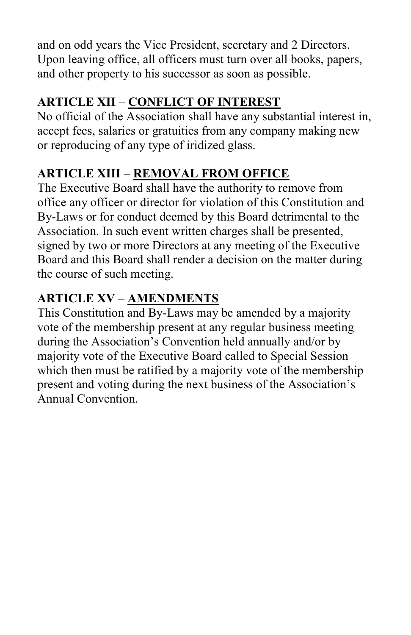and on odd years the Vice President, secretary and 2 Directors. Upon leaving office, all officers must turn over all books, papers, and other property to his successor as soon as possible.

# ARTICLE XII – CONFLICT OF INTEREST

No official of the Association shall have any substantial interest in, accept fees, salaries or gratuities from any company making new or reproducing of any type of iridized glass.

# ARTICLE XIII – REMOVAL FROM OFFICE

The Executive Board shall have the authority to remove from office any officer or director for violation of this Constitution and By-Laws or for conduct deemed by this Board detrimental to the Association. In such event written charges shall be presented, signed by two or more Directors at any meeting of the Executive Board and this Board shall render a decision on the matter during the course of such meeting.

# ARTICLE XV – AMENDMENTS

This Constitution and By-Laws may be amended by a majority vote of the membership present at any regular business meeting during the Association's Convention held annually and/or by majority vote of the Executive Board called to Special Session which then must be ratified by a majority vote of the membership present and voting during the next business of the Association's Annual Convention.